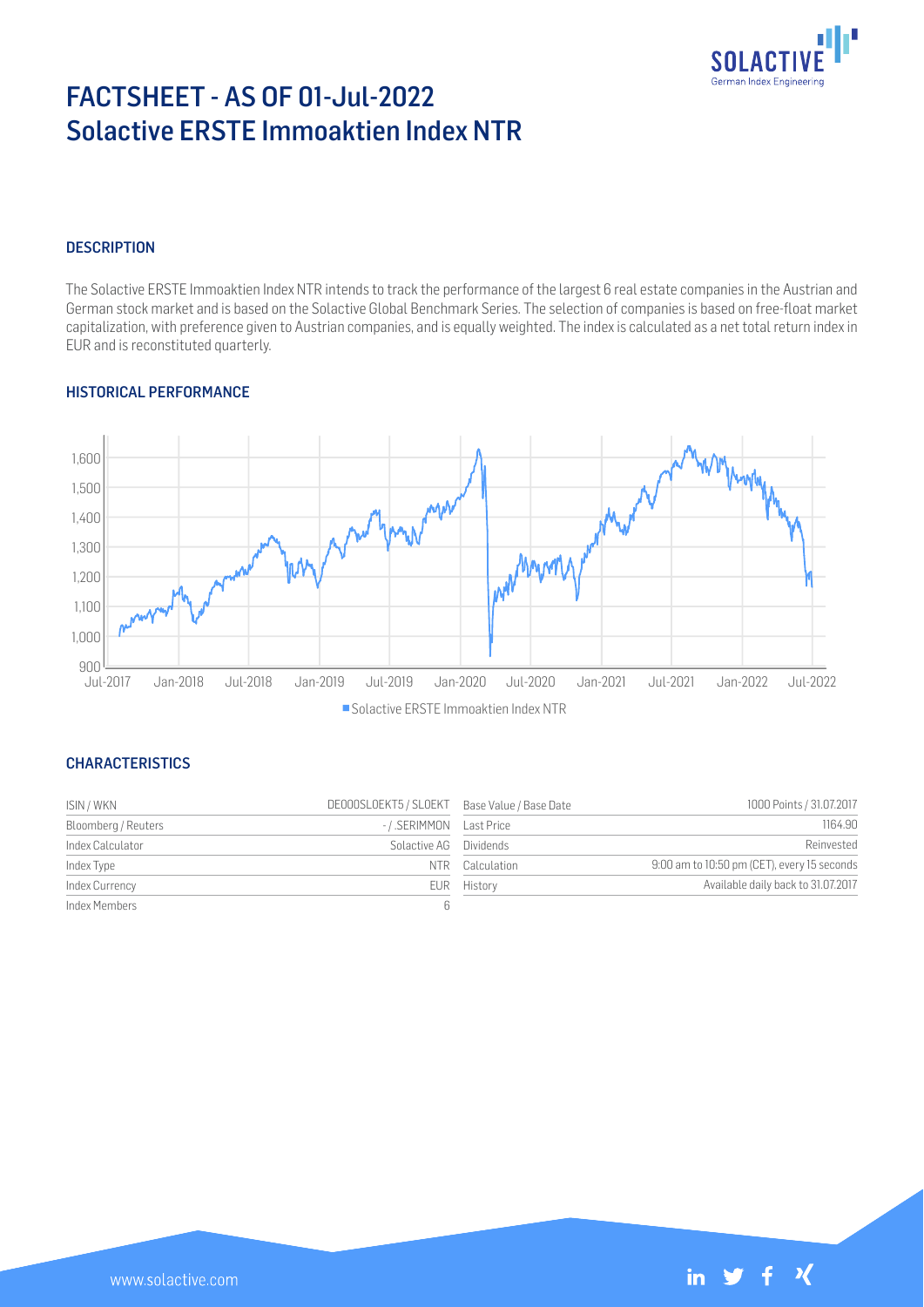

# FACTSHEET - AS OF 01-Jul-2022 Solactive ERSTE Immoaktien Index NTR

#### **DESCRIPTION**

The Solactive ERSTE Immoaktien Index NTR intends to track the performance of the largest 6 real estate companies in the Austrian and German stock market and is based on the Solactive Global Benchmark Series. The selection of companies is based on free-float market capitalization, with preference given to Austrian companies, and is equally weighted. The index is calculated as a net total return index in EUR and is reconstituted quarterly.

#### HISTORICAL PERFORMANCE



#### Solactive ERSTE Immoaktien Index NTR

#### **CHARACTERISTICS**

| ISIN / WKN          | DE000SLOEKT5 / SLOEKT Base Value / Base Date |                 | 1000 Points / 31.07.2017                    |
|---------------------|----------------------------------------------|-----------------|---------------------------------------------|
| Bloomberg / Reuters | -/.SERIMMON Last Price                       |                 | 1164.90                                     |
| Index Calculator    | Solactive AG Dividends                       |                 | Reinvested                                  |
| Index Type          |                                              | NTR Calculation | 9:00 am to 10:50 pm (CET), every 15 seconds |
| Index Currency      |                                              | EUR History     | Available daily back to 31.07.2017          |
| Index Members       |                                              |                 |                                             |

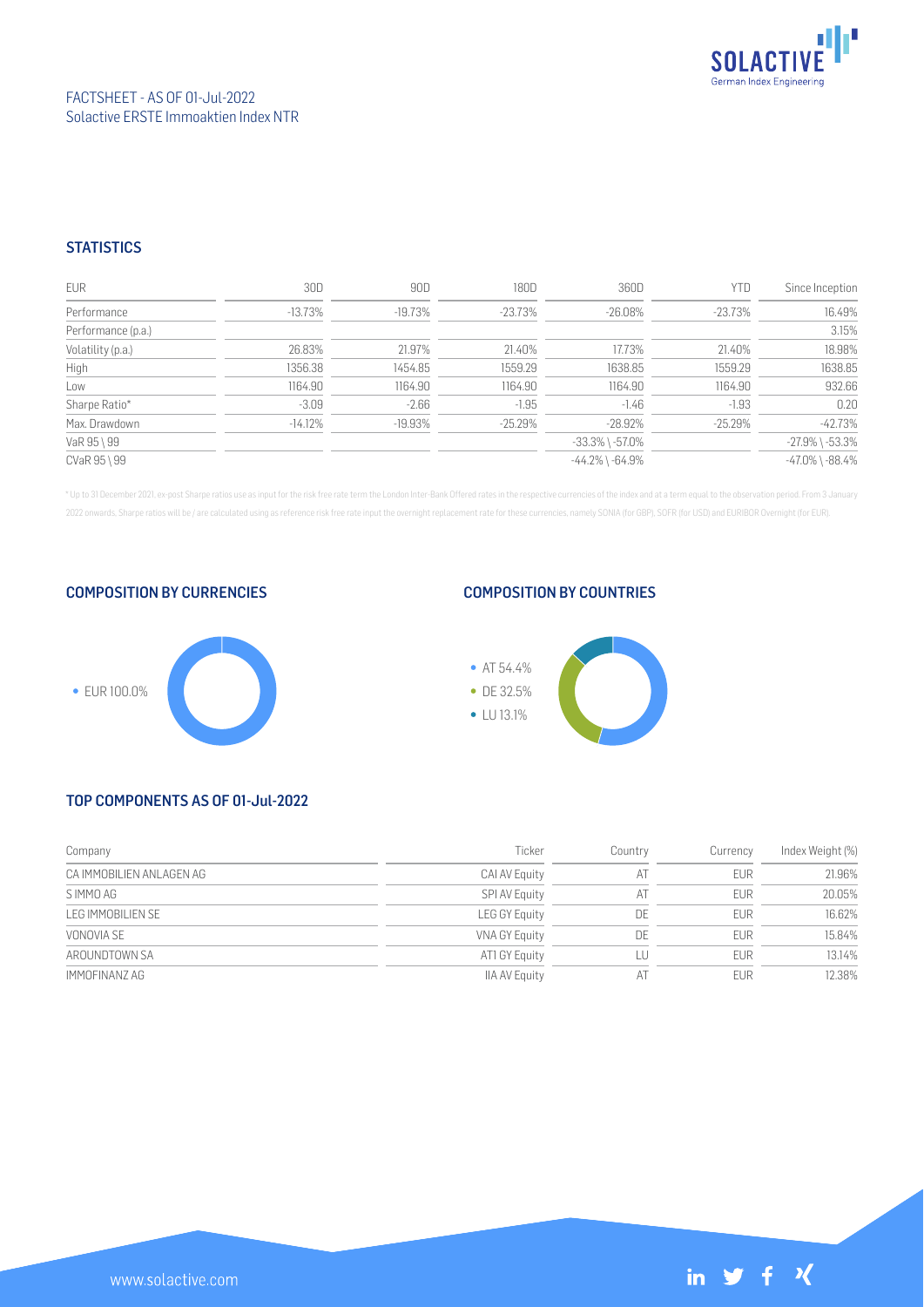

## FACTSHEET - AS OF 01-Jul-2022 Solactive ERSTE Immoaktien Index NTR

### **STATISTICS**

| <b>EUR</b>         | 30D       | 90D       | 180D       | 360D                  | <b>YTD</b> | Since Inception       |
|--------------------|-----------|-----------|------------|-----------------------|------------|-----------------------|
| Performance        | $-13.73%$ | $-19.73%$ | -23.73%    | $-26.08\%$            | -23.73%    | 16.49%                |
| Performance (p.a.) |           |           |            |                       |            | 3.15%                 |
| Volatility (p.a.)  | 26.83%    | 21.97%    | 21.40%     | 17.73%                | 21.40%     | 18.98%                |
| High               | 1356.38   | 1454.85   | 1559.29    | 1638.85               | 1559.29    | 1638.85               |
| Low                | 1164.90   | 1164.90   | 1164.90    | 1164.90               | 1164.90    | 932.66                |
| Sharpe Ratio*      | $-3.09$   | $-2.66$   | $-1.95$    | $-1.46$               | $-1.93$    | 0.20                  |
| Max. Drawdown      | $-14.12%$ | $-19.93%$ | $-25.29\%$ | $-28.92%$             | $-25.29\%$ | $-42.73%$             |
| VaR 95 \ 99        |           |           |            | $-33.3\%$ \ $-57.0\%$ |            | $-27.9\%$ \ $-53.3\%$ |
| CVaR 95 \ 99       |           |           |            | $-44.2\%$ \ $-64.9\%$ |            | $-47.0\%$ \ $-88.4\%$ |

\* Up to 31 December 2021, ex-post Sharpe ratios use as input for the risk free rate term the London Inter-Bank Offered rates in the respective currencies of the index and at a term equal to the observation period. From 3 J 2022 onwards, Sharpe ratios will be / are calculated using as reference risk free rate input the overnight replacement rate for these currencies, namely SONIA (for GBP), SOFR (for USD) and EURIBOR Overnight (for EUR).

COMPOSITION BY CURRENCIES



#### COMPOSITION BY COUNTRIES



## TOP COMPONENTS AS OF 01-Jul-2022

| Company                  | Ticker               | Country | Currency   | Index Weight (%) |
|--------------------------|----------------------|---------|------------|------------------|
| CA IMMOBILIEN ANLAGEN AG | CAI AV Equity        | AT      | <b>EUR</b> | 21.96%           |
| S IMMO AG                | SPI AV Equity        | AT      | <b>EUR</b> | 20.05%           |
| LEG IMMOBILIEN SE        | LEG GY Equity        | DE      | <b>EUR</b> | 16.62%           |
| VONOVIA SE               | VNA GY Equity        | DE      | <b>EUR</b> | 15.84%           |
| AROUNDTOWN SA            | AT1 GY Equity        | LU      | <b>EUR</b> | 13.14%           |
| IMMOFINANZ AG            | <b>IIA AV Equity</b> | A1      | <b>EUR</b> | 12.38%           |